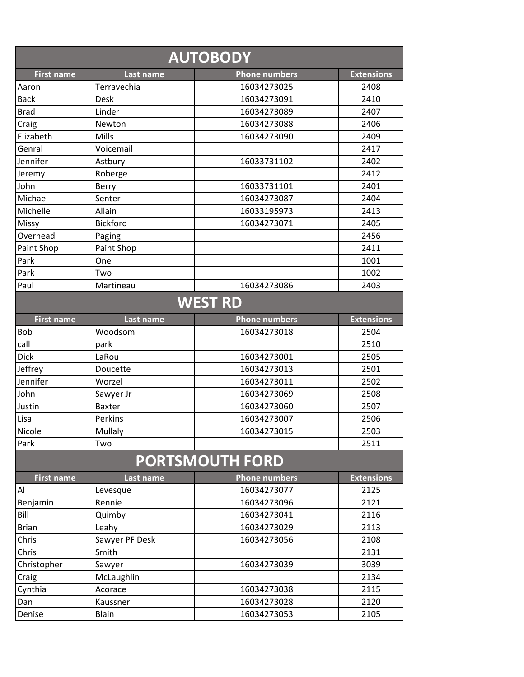| <b>AUTOBODY</b>        |                 |                      |                   |  |  |  |
|------------------------|-----------------|----------------------|-------------------|--|--|--|
| <b>First name</b>      | Last name       | <b>Phone numbers</b> | <b>Extensions</b> |  |  |  |
| Aaron                  | Terravechia     | 16034273025          | 2408              |  |  |  |
| <b>Back</b>            | Desk            | 16034273091          | 2410              |  |  |  |
| <b>Brad</b>            | Linder          | 16034273089          | 2407              |  |  |  |
| Craig                  | Newton          | 16034273088          | 2406              |  |  |  |
| Elizabeth              | <b>Mills</b>    | 16034273090          | 2409              |  |  |  |
| Genral                 | Voicemail       |                      | 2417              |  |  |  |
| Jennifer               | Astbury         | 16033731102          | 2402              |  |  |  |
| Jeremy                 | Roberge         |                      | 2412              |  |  |  |
| John                   | Berry           | 16033731101          | 2401              |  |  |  |
| Michael                | Senter          | 16034273087          | 2404              |  |  |  |
| Michelle               | Allain          | 16033195973          | 2413              |  |  |  |
| Missy                  | <b>Bickford</b> | 16034273071          | 2405              |  |  |  |
| Overhead               | Paging          |                      | 2456              |  |  |  |
| Paint Shop             | Paint Shop      |                      | 2411              |  |  |  |
| Park                   | One             |                      | 1001              |  |  |  |
| Park                   | Two             |                      | 1002              |  |  |  |
| Paul                   | Martineau       | 16034273086          | 2403              |  |  |  |
|                        |                 | <b>WEST RD</b>       |                   |  |  |  |
| <b>First name</b>      | Last name       | <b>Phone numbers</b> | <b>Extensions</b> |  |  |  |
| <b>Bob</b>             | Woodsom         | 16034273018          | 2504              |  |  |  |
| call                   | park            |                      | 2510              |  |  |  |
| <b>Dick</b>            | LaRou           | 16034273001          | 2505              |  |  |  |
| Jeffrey                | Doucette        | 16034273013          | 2501              |  |  |  |
| Jennifer               | Worzel          | 16034273011          | 2502              |  |  |  |
| John                   | Sawyer Jr       | 16034273069          | 2508              |  |  |  |
| Justin                 | <b>Baxter</b>   | 16034273060          | 2507              |  |  |  |
| Lisa                   | Perkins         | 16034273007          | 2506              |  |  |  |
| Nicole                 | Mullaly         | 16034273015          | 2503              |  |  |  |
| Park                   | Two             |                      | 2511              |  |  |  |
| <b>PORTSMOUTH FORD</b> |                 |                      |                   |  |  |  |
| <b>First name</b>      | Last name       | <b>Phone numbers</b> | <b>Extensions</b> |  |  |  |
| Al                     | Levesque        | 16034273077          | 2125              |  |  |  |
| Benjamin               | Rennie          | 16034273096          | 2121              |  |  |  |
| Bill                   | Quimby          | 16034273041          | 2116              |  |  |  |
| <b>Brian</b>           | Leahy           | 16034273029          | 2113              |  |  |  |
| Chris                  | Sawyer PF Desk  | 16034273056          | 2108              |  |  |  |
| Chris                  | Smith           |                      | 2131              |  |  |  |
| Christopher            | Sawyer          | 16034273039          | 3039              |  |  |  |
| Craig                  | McLaughlin      |                      | 2134              |  |  |  |
| Cynthia                | Acorace         | 16034273038          | 2115              |  |  |  |
| Dan                    | Kaussner        | 16034273028          | 2120              |  |  |  |
| Denise                 | Blain           | 16034273053          | 2105              |  |  |  |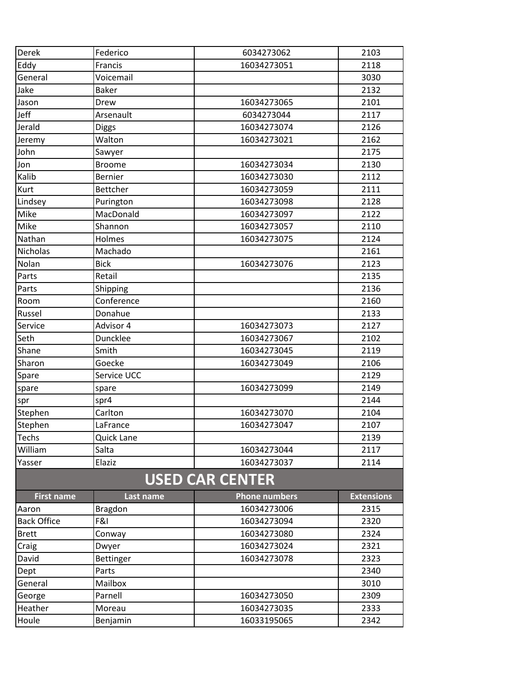| Derek              | Federico        | 6034273062             | 2103              |
|--------------------|-----------------|------------------------|-------------------|
| Eddy               | Francis         | 16034273051            | 2118              |
| General            | Voicemail       |                        | 3030              |
| Jake               | <b>Baker</b>    |                        | 2132              |
| Jason              | Drew            | 16034273065            | 2101              |
| Jeff               | Arsenault       | 6034273044             | 2117              |
| Jerald             | <b>Diggs</b>    | 16034273074            | 2126              |
| Jeremy             | Walton          | 16034273021            | 2162              |
| John               | Sawyer          |                        | 2175              |
| Jon                | <b>Broome</b>   | 16034273034            | 2130              |
| Kalib              | Bernier         | 16034273030            | 2112              |
| Kurt               | <b>Bettcher</b> | 16034273059            | 2111              |
| Lindsey            | Purington       | 16034273098            | 2128              |
| Mike               | MacDonald       | 16034273097            | 2122              |
| Mike               | Shannon         | 16034273057            | 2110              |
| Nathan             | Holmes          | 16034273075            | 2124              |
| Nicholas           | Machado         |                        | 2161              |
| Nolan              | <b>Bick</b>     | 16034273076            | 2123              |
| Parts              | Retail          |                        | 2135              |
| Parts              | Shipping        |                        | 2136              |
| Room               | Conference      |                        | 2160              |
| Russel             | Donahue         |                        | 2133              |
| Service            | Advisor 4       | 16034273073            | 2127              |
| Seth               | Duncklee        | 16034273067            | 2102              |
| Shane              | Smith           | 16034273045            | 2119              |
| Sharon             | Goecke          | 16034273049            | 2106              |
| Spare              | Service UCC     |                        | 2129              |
| spare              | spare           | 16034273099            | 2149              |
| spr                | spr4            |                        | 2144              |
| Stephen            | Carlton         | 16034273070            | 2104              |
| Stephen            | LaFrance        | 16034273047            | 2107              |
| Techs              | Quick Lane      |                        | 2139              |
| William            | Salta           | 16034273044            | 2117              |
| Yasser             | Elaziz          | 16034273037            | 2114              |
|                    |                 | <b>USED CAR CENTER</b> |                   |
| <b>First name</b>  | Last name       | <b>Phone numbers</b>   | <b>Extensions</b> |
| Aaron              | <b>Bragdon</b>  | 16034273006            | 2315              |
| <b>Back Office</b> | F&I             | 16034273094            | 2320              |
| <b>Brett</b>       | Conway          | 16034273080            | 2324              |
| Craig              | Dwyer           | 16034273024            | 2321              |
| David              | Bettinger       | 16034273078            | 2323              |
| Dept               | Parts           |                        | 2340              |
| General            | Mailbox         |                        | 3010              |
| George             | Parnell         | 16034273050            | 2309              |
| Heather            | Moreau          | 16034273035            | 2333              |
| Houle              | Benjamin        | 16033195065            | 2342              |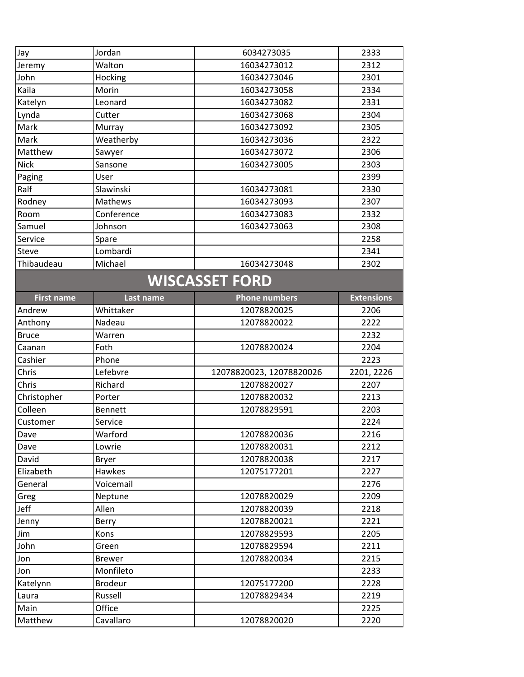| Jay                   | Jordan              | 6034273035               | 2333              |  |  |
|-----------------------|---------------------|--------------------------|-------------------|--|--|
| Jeremy                | Walton              | 16034273012              | 2312              |  |  |
| John                  | Hocking             | 16034273046              | 2301              |  |  |
| Kaila                 | Morin               | 16034273058              | 2334              |  |  |
| Katelyn               | Leonard             | 16034273082              | 2331              |  |  |
| Lynda                 | Cutter              | 16034273068              | 2304              |  |  |
| Mark                  | Murray              | 16034273092              | 2305              |  |  |
| Mark                  | Weatherby           | 16034273036              | 2322              |  |  |
| Matthew               | Sawyer              | 16034273072              | 2306              |  |  |
| <b>Nick</b>           | Sansone             | 16034273005              | 2303              |  |  |
| Paging                | User                |                          | 2399              |  |  |
| Ralf                  | Slawinski           | 16034273081              | 2330              |  |  |
| Rodney                | Mathews             | 16034273093              | 2307              |  |  |
| Room                  | Conference          | 16034273083              | 2332              |  |  |
| Samuel                | Johnson             | 16034273063              | 2308              |  |  |
| Service               | Spare               |                          | 2258              |  |  |
| Steve                 | Lombardi            |                          | 2341              |  |  |
| Thibaudeau            | Michael             | 16034273048              | 2302              |  |  |
| <b>WISCASSET FORD</b> |                     |                          |                   |  |  |
| <b>First name</b>     | Last name           | <b>Phone numbers</b>     | <b>Extensions</b> |  |  |
| Andrew                | Whittaker           | 12078820025              | 2206              |  |  |
| Anthony               | Nadeau              | 12078820022              | 2222              |  |  |
| <b>Bruce</b>          | Warren              |                          | 2232              |  |  |
| Caanan                | Foth                | 12078820024              | 2204              |  |  |
| Cashier               | Phone               |                          | 2223              |  |  |
| Chris                 | Lefebvre            | 12078820023, 12078820026 | 2201, 2226        |  |  |
| Chris                 | Richard             | 12078820027              | 2207              |  |  |
| Christopher           | Porter              | 12078820032              | 2213              |  |  |
| Colleen               | <b>Bennett</b>      | 12078829591              | 2203              |  |  |
| Customer              | Service             |                          | 2224              |  |  |
| Dave                  | Warford             | 12078820036              | 2216              |  |  |
| Dave                  | Lowrie              | 12078820031              | 2212              |  |  |
| David                 | <b>Bryer</b>        | 12078820038              | 2217              |  |  |
| Elizabeth             | Hawkes              | 12075177201              | 2227              |  |  |
| General               | Voicemail           |                          | 2276              |  |  |
| Greg                  | Neptune             | 12078820029              | 2209              |  |  |
| Jeff                  | Allen               | 12078820039              | 2218              |  |  |
| Jenny                 | Berry               | 12078820021              | 2221              |  |  |
| Jim                   | Kons                | 12078829593              | 2205              |  |  |
| John                  | Green               | 12078829594              | 2211              |  |  |
| Jon                   | <b>Brewer</b>       | 12078820034              | 2215              |  |  |
| Jon                   | Monfileto           |                          | 2233              |  |  |
| Katelynn              |                     |                          | 2228              |  |  |
| Laura                 | <b>Brodeur</b>      | 12075177200              |                   |  |  |
|                       | Russell             | 12078829434              | 2219              |  |  |
| Main<br>Matthew       | Office<br>Cavallaro | 12078820020              | 2225<br>2220      |  |  |